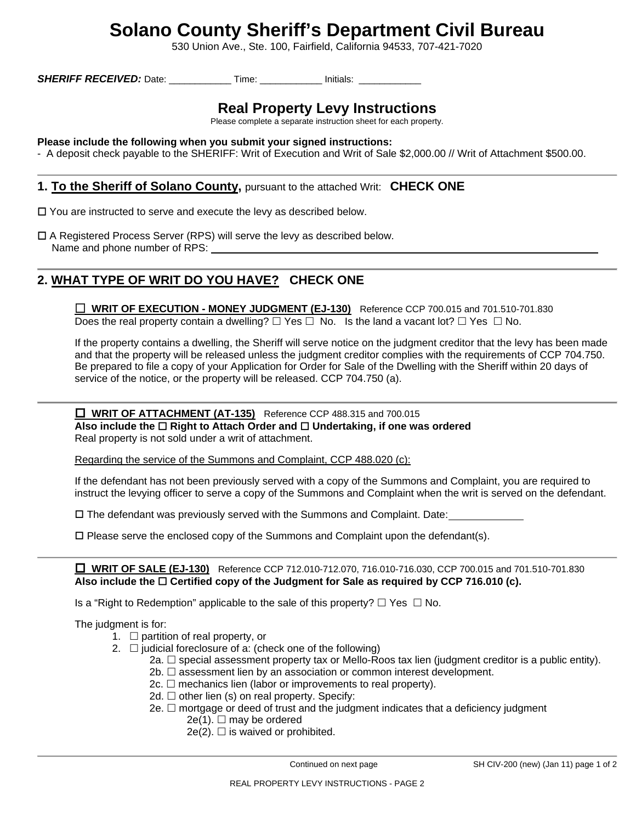# **Solano County Sheriff's Department Civil Bureau**

530 Union Ave., Ste. 100, Fairfield, California 94533, 707-421-7020

**SHERIFF RECEIVED:** Date: \_\_\_\_\_\_\_\_\_\_\_\_\_\_ Time: \_\_\_\_\_\_\_\_\_\_\_\_\_ Initials: \_\_\_\_\_\_\_\_\_\_\_

## **Real Property Levy Instructions**

Please complete a separate instruction sheet for each property.

### **Please include the following when you submit your signed instructions:**

- A deposit check payable to the SHERIFF: Writ of Execution and Writ of Sale \$2,000.00 // Writ of Attachment \$500.00.

### **1. To the Sheriff of Solano County,** pursuant to the attached Writ: **CHECK ONE**

- □ You are instructed to serve and execute the levy as described below.
- A Registered Process Server (RPS) will serve the levy as described below. Name and phone number of RPS:

### **2. WHAT TYPE OF WRIT DO YOU HAVE? CHECK ONE**

 **WRIT OF EXECUTION - MONEY JUDGMENT (EJ-130)** Reference CCP 700.015 and 701.510-701.830 Does the real property contain a dwelling?  $\Box$  Yes  $\Box$  No. Is the land a vacant lot?  $\Box$  Yes  $\Box$  No.

 If the property contains a dwelling, the Sheriff will serve notice on the judgment creditor that the levy has been made and that the property will be released unless the judgment creditor complies with the requirements of CCP 704.750. Be prepared to file a copy of your Application for Order for Sale of the Dwelling with the Sheriff within 20 days of service of the notice, or the property will be released. CCP 704.750 (a).

### **INRIT OF ATTACHMENT (AT-135)** Reference CCP 488.315 and 700.015 **Also include the Right to Attach Order and Undertaking, if one was ordered**  Real property is not sold under a writ of attachment.

Regarding the service of the Summons and Complaint, CCP 488.020 (c):

 If the defendant has not been previously served with a copy of the Summons and Complaint, you are required to instruct the levying officer to serve a copy of the Summons and Complaint when the writ is served on the defendant.

The defendant was previously served with the Summons and Complaint. Date:

 $\square$  Please serve the enclosed copy of the Summons and Complaint upon the defendant(s).

 **WRIT OF SALE (EJ-130)** Reference CCP 712.010-712.070, 716.010-716.030, CCP 700.015 and 701.510-701.830  **Also include the Certified copy of the Judgment for Sale as required by CCP 716.010 (c).** 

Is a "Right to Redemption" applicable to the sale of this property?  $\Box$  Yes  $\Box$  No.

The judgment is for:

- 1.  $\Box$  partition of real property, or
- 2.  $\Box$  judicial foreclosure of a: (check one of the following)
	- 2a.  $\Box$  special assessment property tax or Mello-Roos tax lien (judgment creditor is a public entity).
	- $2b. \Box$  assessment lien by an association or common interest development.
	- 2c.  $\Box$  mechanics lien (labor or improvements to real property).
	- 2d.  $\Box$  other lien (s) on real property. Specify:
	- 2e.  $\Box$  mortgage or deed of trust and the judgment indicates that a deficiency judgment
		- $2e(1)$ .  $\Box$  may be ordered
		- $2e(2)$ .  $\Box$  is waived or prohibited.